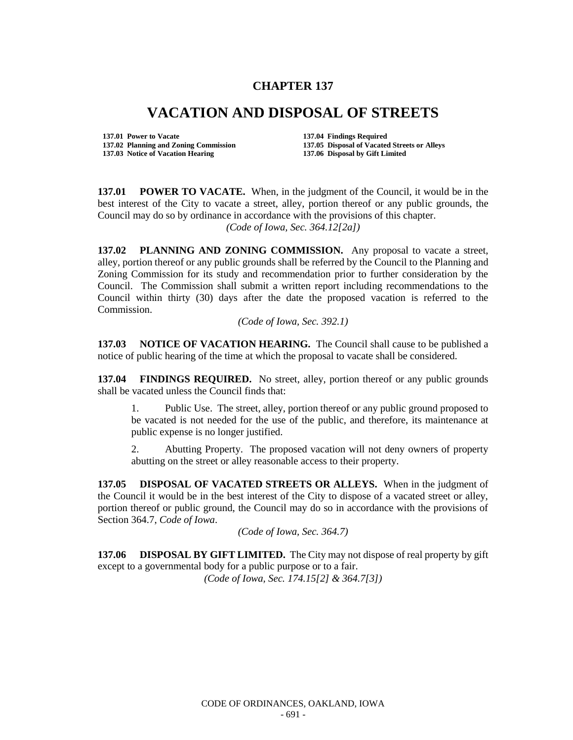## **CHAPTER 137**

## **VACATION AND DISPOSAL OF STREETS**

**137.01 Power to Vacate 137.04 Findings Required 137.03 Notice of Vacation Hearing** 

**137.02 Planning and Zoning Commission 137.05 Disposal of Vacated Streets or Alleys** 

**137.01 POWER TO VACATE.** When, in the judgment of the Council, it would be in the best interest of the City to vacate a street, alley, portion thereof or any public grounds, the Council may do so by ordinance in accordance with the provisions of this chapter. *(Code of Iowa, Sec. 364.12[2a])*

**137.02 PLANNING AND ZONING COMMISSION.** Any proposal to vacate a street, alley, portion thereof or any public grounds shall be referred by the Council to the Planning and Zoning Commission for its study and recommendation prior to further consideration by the Council. The Commission shall submit a written report including recommendations to the Council within thirty (30) days after the date the proposed vacation is referred to the Commission.

*(Code of Iowa, Sec. 392.1)*

**137.03 NOTICE OF VACATION HEARING.** The Council shall cause to be published a notice of public hearing of the time at which the proposal to vacate shall be considered.

**137.04 FINDINGS REQUIRED.** No street, alley, portion thereof or any public grounds shall be vacated unless the Council finds that:

1. Public Use. The street, alley, portion thereof or any public ground proposed to be vacated is not needed for the use of the public, and therefore, its maintenance at public expense is no longer justified.

2. Abutting Property. The proposed vacation will not deny owners of property abutting on the street or alley reasonable access to their property.

**137.05 DISPOSAL OF VACATED STREETS OR ALLEYS.** When in the judgment of the Council it would be in the best interest of the City to dispose of a vacated street or alley, portion thereof or public ground, the Council may do so in accordance with the provisions of Section 364.7, *Code of Iowa*.

*(Code of Iowa, Sec. 364.7)*

**137.06 DISPOSAL BY GIFT LIMITED.** The City may not dispose of real property by gift except to a governmental body for a public purpose or to a fair.

*(Code of Iowa, Sec. 174.15[2] & 364.7[3])*